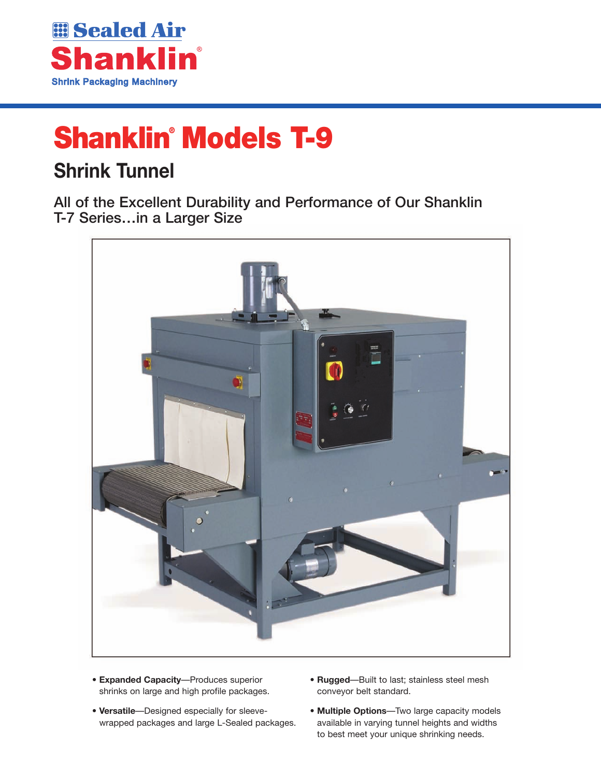

# **Shanklin® Models T-9**

## **Shrink Tunnel**

All of the Excellent Durability and Performance of Our Shanklin T-7 Series…in a Larger Size



- **Expanded Capacity**—Produces superior shrinks on large and high profile packages.
- **Versatile**—Designed especially for sleevewrapped packages and large L-Sealed packages.
- **Rugged**—Built to last; stainless steel mesh conveyor belt standard.
- **Multiple Options**—Two large capacity models available in varying tunnel heights and widths to best meet your unique shrinking needs.